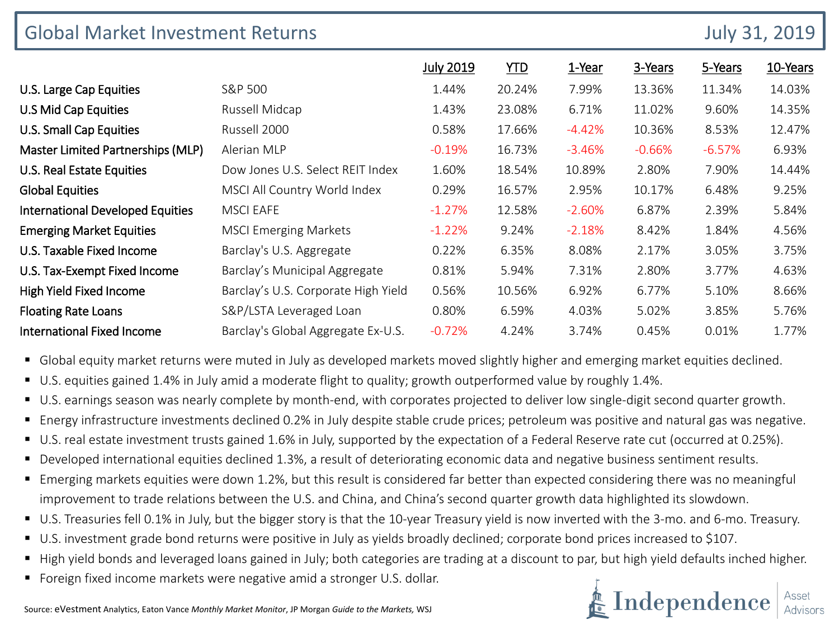| <b>Global Market Investment Returns</b> |                                     |                  |            |          |          | <b>July 31, 2019</b> |          |
|-----------------------------------------|-------------------------------------|------------------|------------|----------|----------|----------------------|----------|
|                                         |                                     | <b>July 2019</b> | <b>YTD</b> | 1-Year   | 3-Years  | 5-Years              | 10-Years |
| U.S. Large Cap Equities                 | S&P 500                             | 1.44%            | 20.24%     | 7.99%    | 13.36%   | 11.34%               | 14.03%   |
| U.S Mid Cap Equities                    | Russell Midcap                      | 1.43%            | 23.08%     | 6.71%    | 11.02%   | 9.60%                | 14.35%   |
| U.S. Small Cap Equities                 | Russell 2000                        | 0.58%            | 17.66%     | $-4.42%$ | 10.36%   | 8.53%                | 12.47%   |
| Master Limited Partnerships (MLP)       | Alerian MLP                         | $-0.19%$         | 16.73%     | $-3.46%$ | $-0.66%$ | $-6.57%$             | 6.93%    |
| U.S. Real Estate Equities               | Dow Jones U.S. Select REIT Index    | 1.60%            | 18.54%     | 10.89%   | 2.80%    | 7.90%                | 14.44%   |
| <b>Global Equities</b>                  | MSCI All Country World Index        | 0.29%            | 16.57%     | 2.95%    | 10.17%   | 6.48%                | 9.25%    |
| <b>International Developed Equities</b> | <b>MSCI EAFE</b>                    | $-1.27%$         | 12.58%     | $-2.60%$ | 6.87%    | 2.39%                | 5.84%    |
| <b>Emerging Market Equities</b>         | <b>MSCI Emerging Markets</b>        | $-1.22%$         | 9.24%      | $-2.18%$ | 8.42%    | 1.84%                | 4.56%    |
| U.S. Taxable Fixed Income               | Barclay's U.S. Aggregate            | 0.22%            | 6.35%      | 8.08%    | 2.17%    | 3.05%                | 3.75%    |
| U.S. Tax-Exempt Fixed Income            | Barclay's Municipal Aggregate       | 0.81%            | 5.94%      | 7.31%    | 2.80%    | 3.77%                | 4.63%    |
| High Yield Fixed Income                 | Barclay's U.S. Corporate High Yield | 0.56%            | 10.56%     | 6.92%    | 6.77%    | 5.10%                | 8.66%    |
| <b>Floating Rate Loans</b>              | S&P/LSTA Leveraged Loan             | 0.80%            | 6.59%      | 4.03%    | 5.02%    | 3.85%                | 5.76%    |
| <b>International Fixed Income</b>       | Barclay's Global Aggregate Ex-U.S.  | $-0.72%$         | 4.24%      | 3.74%    | 0.45%    | 0.01%                | 1.77%    |

**G** Global equity market returns were muted in July as developed markets moved slightly higher and emerging market equities declined.

- U.S. equities gained 1.4% in July amid a moderate flight to quality; growth outperformed value by roughly 1.4%.
- U.S. earnings season was nearly complete by month-end, with corporates projected to deliver low single-digit second quarter growth.
- Energy infrastructure investments declined 0.2% in July despite stable crude prices; petroleum was positive and natural gas was negative.
- U.S. real estate investment trusts gained 1.6% in July, supported by the expectation of a Federal Reserve rate cut (occurred at 0.25%).
- Developed international equities declined 1.3%, a result of deteriorating economic data and negative business sentiment results.
- Emerging markets equities were down 1.2%, but this result is considered far better than expected considering there was no meaningful improvement to trade relations between the U.S. and China, and China's second quarter growth data highlighted its slowdown.
- U.S. Treasuries fell 0.1% in July, but the bigger story is that the 10-year Treasury yield is now inverted with the 3-mo. and 6-mo. Treasury.
- U.S. investment grade bond returns were positive in July as yields broadly declined; corporate bond prices increased to \$107.
- High yield bonds and leveraged loans gained in July; both categories are trading at a discount to par, but high yield defaults inched higher.
- Foreign fixed income markets were negative amid a stronger U.S. dollar.

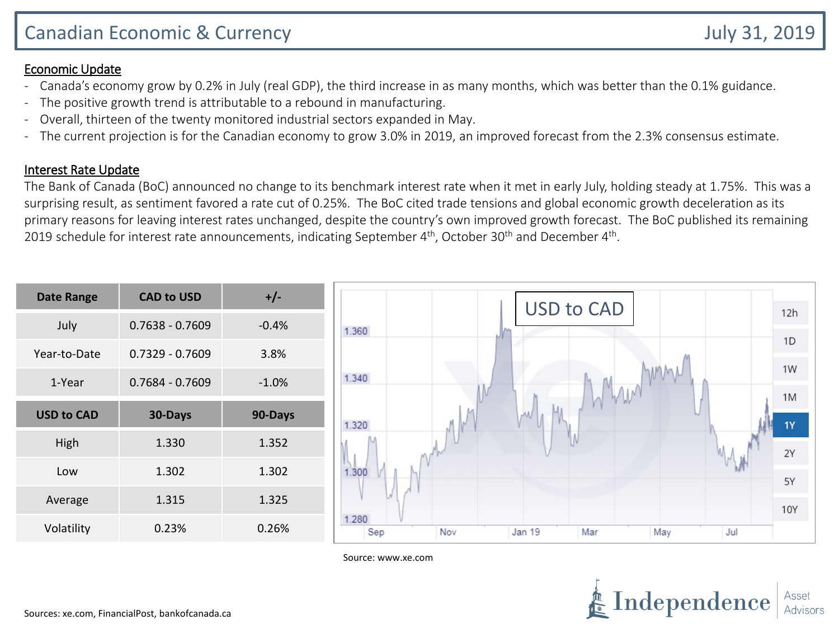## Economic Update

- Canada's economy grow by 0.2% in July (real GDP), the third increase in as many months, which was better than the 0.1% guidance.
- The positive growth trend is attributable to a rebound in manufacturing.
- Overall, thirteen of the twenty monitored industrial sectors expanded in May.
- The current projection is for the Canadian economy to grow 3.0% in 2019, an improved forecast from the 2.3% consensus estimate.

## Interest Rate Update

The Bank of Canada (BoC) announced no change to its benchmark interest rate when it met in early July, holding steady at 1.75%. This was a surprising result, as sentiment favored a rate cut of 0.25%. The BoC cited trade tensions and global economic growth deceleration as its primary reasons for leaving interest rates unchanged, despite the country's own improved growth forecast. The BoC published its remaining 2019 schedule for interest rate announcements, indicating September 4<sup>th</sup>, October 30<sup>th</sup> and December 4<sup>th</sup>.

| <b>Date Range</b> | <b>CAD to USD</b> | $+/-$   | <b>USD to CAD</b>                                         |            |
|-------------------|-------------------|---------|-----------------------------------------------------------|------------|
| July              | $0.7638 - 0.7609$ | $-0.4%$ | 1.360                                                     | 12h        |
| Year-to-Date      | $0.7329 - 0.7609$ | 3.8%    |                                                           | 1D         |
| 1-Year            | $0.7684 - 0.7609$ | $-1.0%$ | 1.340                                                     | 1W         |
| <b>USD to CAD</b> | 30-Days           | 90-Days | Whan<br>Ыı<br>М<br>1.320                                  | 1M<br>1Y   |
| High              | 1.330             | 1.352   |                                                           | 2Y         |
| Low               | 1.302             | 1.302   | 1.300                                                     | 5Y         |
| Average           | 1.315             | 1.325   |                                                           | <b>10Y</b> |
| Volatility        | 0.23%             | 0.26%   | 1.280<br>Sep<br>Nov<br><b>Jan 19</b><br>Mar<br>May<br>Jul |            |

Source: www.xe.com